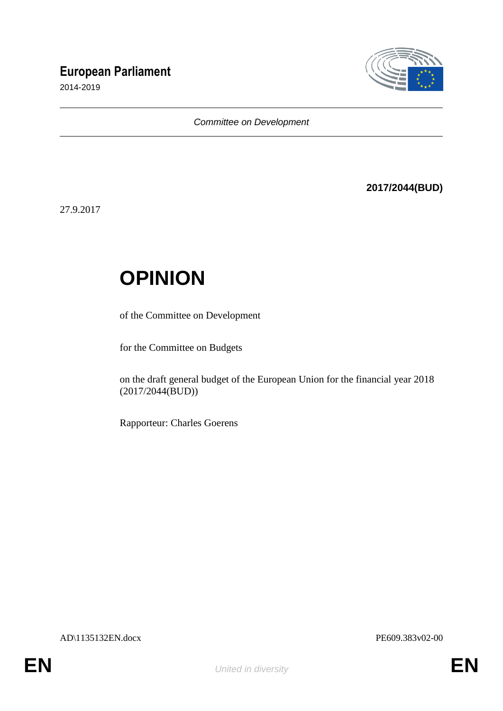# **European Parliament**

2014-2019



*Committee on Development*

**2017/2044(BUD)**

27.9.2017

# **OPINION**

of the Committee on Development

for the Committee on Budgets

on the draft general budget of the European Union for the financial year 2018 (2017/2044(BUD))

Rapporteur: Charles Goerens

AD\1135132EN.docx PE609.383v02-00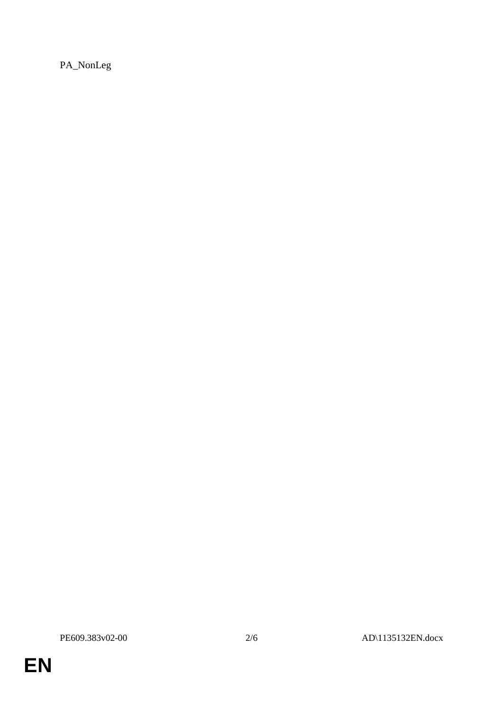PA\_NonLeg

EN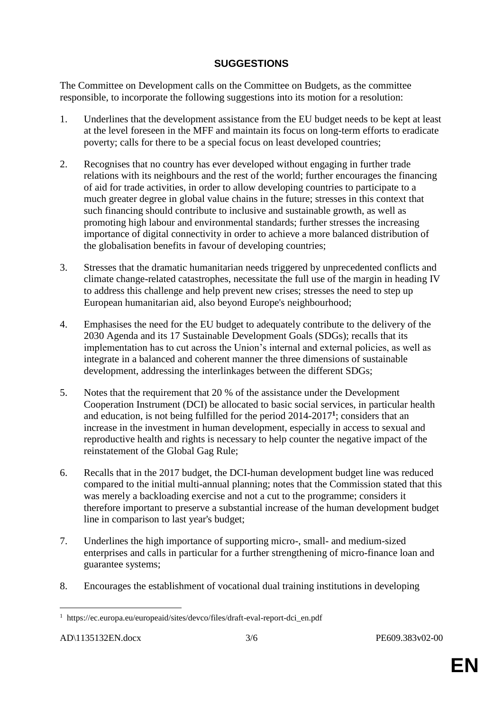## **SUGGESTIONS**

The Committee on Development calls on the Committee on Budgets, as the committee responsible, to incorporate the following suggestions into its motion for a resolution:

- 1. Underlines that the development assistance from the EU budget needs to be kept at least at the level foreseen in the MFF and maintain its focus on long-term efforts to eradicate poverty; calls for there to be a special focus on least developed countries;
- 2. Recognises that no country has ever developed without engaging in further trade relations with its neighbours and the rest of the world; further encourages the financing of aid for trade activities, in order to allow developing countries to participate to a much greater degree in global value chains in the future; stresses in this context that such financing should contribute to inclusive and sustainable growth, as well as promoting high labour and environmental standards; further stresses the increasing importance of digital connectivity in order to achieve a more balanced distribution of the globalisation benefits in favour of developing countries;
- 3. Stresses that the dramatic humanitarian needs triggered by unprecedented conflicts and climate change-related catastrophes, necessitate the full use of the margin in heading IV to address this challenge and help prevent new crises; stresses the need to step up European humanitarian aid, also beyond Europe's neighbourhood;
- 4. Emphasises the need for the EU budget to adequately contribute to the delivery of the 2030 Agenda and its 17 Sustainable Development Goals (SDGs); recalls that its implementation has to cut across the Union's internal and external policies, as well as integrate in a balanced and coherent manner the three dimensions of sustainable development, addressing the interlinkages between the different SDGs;
- 5. Notes that the requirement that 20 % of the assistance under the Development Cooperation Instrument (DCI) be allocated to basic social services, in particular health and education, is not being fulfilled for the period 2014-2017**<sup>1</sup>** ; considers that an increase in the investment in human development, especially in access to sexual and reproductive health and rights is necessary to help counter the negative impact of the reinstatement of the Global Gag Rule;
- 6. Recalls that in the 2017 budget, the DCI-human development budget line was reduced compared to the initial multi-annual planning; notes that the Commission stated that this was merely a backloading exercise and not a cut to the programme; considers it therefore important to preserve a substantial increase of the human development budget line in comparison to last year's budget;
- 7. Underlines the high importance of supporting micro-, small- and medium-sized enterprises and calls in particular for a further strengthening of micro-finance loan and guarantee systems;
- 8. Encourages the establishment of vocational dual training institutions in developing

 $\overline{a}$ <sup>1</sup> https://ec.europa.eu/europeaid/sites/devco/files/draft-eval-report-dci\_en.pdf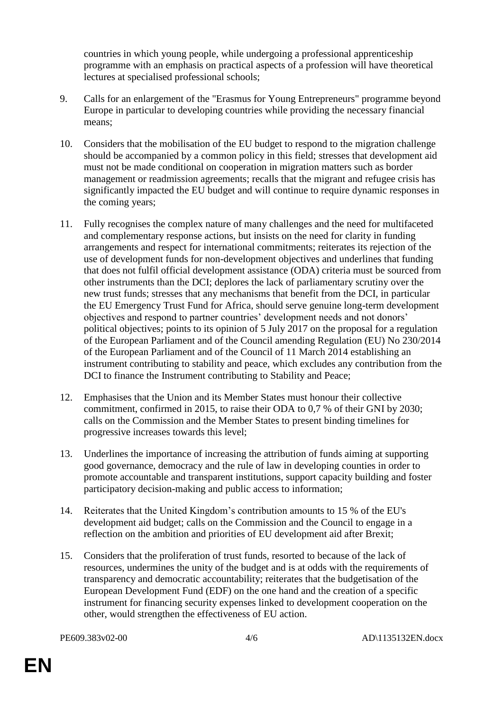countries in which young people, while undergoing a professional apprenticeship programme with an emphasis on practical aspects of a profession will have theoretical lectures at specialised professional schools;

- 9. Calls for an enlargement of the "Erasmus for Young Entrepreneurs" programme beyond Europe in particular to developing countries while providing the necessary financial means;
- 10. Considers that the mobilisation of the EU budget to respond to the migration challenge should be accompanied by a common policy in this field; stresses that development aid must not be made conditional on cooperation in migration matters such as border management or readmission agreements; recalls that the migrant and refugee crisis has significantly impacted the EU budget and will continue to require dynamic responses in the coming years;
- 11. Fully recognises the complex nature of many challenges and the need for multifaceted and complementary response actions, but insists on the need for clarity in funding arrangements and respect for international commitments; reiterates its rejection of the use of development funds for non-development objectives and underlines that funding that does not fulfil official development assistance (ODA) criteria must be sourced from other instruments than the DCI; deplores the lack of parliamentary scrutiny over the new trust funds; stresses that any mechanisms that benefit from the DCI, in particular the EU Emergency Trust Fund for Africa, should serve genuine long-term development objectives and respond to partner countries' development needs and not donors' political objectives; points to its opinion of 5 July 2017 on the proposal for a regulation of the European Parliament and of the Council amending Regulation (EU) No 230/2014 of the European Parliament and of the Council of 11 March 2014 establishing an instrument contributing to stability and peace, which excludes any contribution from the DCI to finance the Instrument contributing to Stability and Peace;
- 12. Emphasises that the Union and its Member States must honour their collective commitment, confirmed in 2015, to raise their ODA to 0,7 % of their GNI by 2030; calls on the Commission and the Member States to present binding timelines for progressive increases towards this level;
- 13. Underlines the importance of increasing the attribution of funds aiming at supporting good governance, democracy and the rule of law in developing counties in order to promote accountable and transparent institutions, support capacity building and foster participatory decision-making and public access to information;
- 14. Reiterates that the United Kingdom's contribution amounts to 15 % of the EU's development aid budget; calls on the Commission and the Council to engage in a reflection on the ambition and priorities of EU development aid after Brexit;
- 15. Considers that the proliferation of trust funds, resorted to because of the lack of resources, undermines the unity of the budget and is at odds with the requirements of transparency and democratic accountability; reiterates that the budgetisation of the European Development Fund (EDF) on the one hand and the creation of a specific instrument for financing security expenses linked to development cooperation on the other, would strengthen the effectiveness of EU action.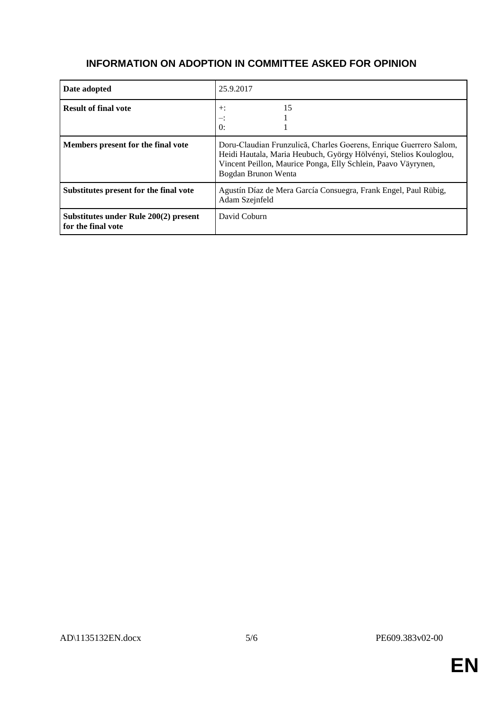#### **INFORMATION ON ADOPTION IN COMMITTEE ASKED FOR OPINION**

| Date adopted                                                | 25.9.2017                                                                                                                                                                                                                       |
|-------------------------------------------------------------|---------------------------------------------------------------------------------------------------------------------------------------------------------------------------------------------------------------------------------|
| <b>Result of final vote</b>                                 | 15<br>$+$ :<br>≕:<br>$\Omega$ :                                                                                                                                                                                                 |
| Members present for the final vote                          | Doru-Claudian Frunzulică, Charles Goerens, Enrique Guerrero Salom,<br>Heidi Hautala, Maria Heubuch, György Hölvényi, Stelios Kouloglou,<br>Vincent Peillon, Maurice Ponga, Elly Schlein, Paavo Väyrynen,<br>Bogdan Brunon Wenta |
| Substitutes present for the final vote                      | Agustín Díaz de Mera García Consuegra, Frank Engel, Paul Rübig,<br>Adam Szejnfeld                                                                                                                                               |
| Substitutes under Rule 200(2) present<br>for the final vote | David Coburn                                                                                                                                                                                                                    |